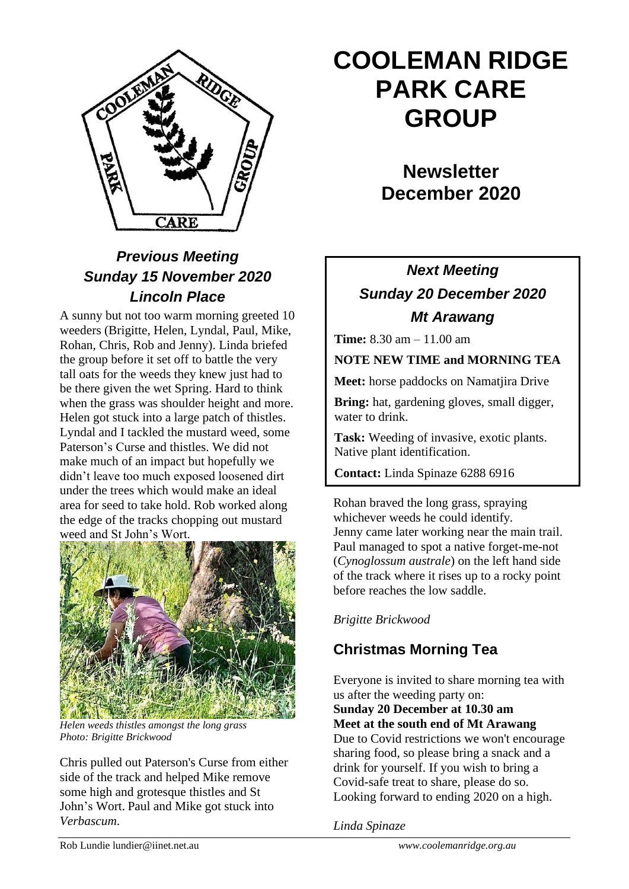

# *Previous Meeting Sunday 15 November 2020 Lincoln Place*

A sunny but not too warm morning greeted 10 weeders (Brigitte, Helen, Lyndal, Paul, Mike, Rohan, Chris, Rob and Jenny). Linda briefed the group before it set off to battle the very tall oats for the weeds they knew just had to be there given the wet Spring. Hard to think when the grass was shoulder height and more. Helen got stuck into a large patch of thistles. Lyndal and I tackled the mustard weed, some Paterson's Curse and thistles. We did not make much of an impact but hopefully we didn't leave too much exposed loosened dirt under the trees which would make an ideal area for seed to take hold. Rob worked along the edge of the tracks chopping out mustard weed and St John's Wort.



*Helen weeds thistles amongst the long grass Photo: Brigitte Brickwood*

Chris pulled out Paterson's Curse from either side of the track and helped Mike remove some high and grotesque thistles and St John's Wort. Paul and Mike got stuck into *Verbascum*.

# **COOLEMAN RIDGE PARK CARE GROUP**

**Newsletter December 2020** 

# *Next Meeting Sunday 20 December 2020 Mt Arawang*

**Time:** 8.30 am – 11.00 am

**NOTE NEW TIME and MORNING TEA**

**Meet:** horse paddocks on Namatjira Drive

**Bring:** hat, gardening gloves, small digger, water to drink.

**Task:** Weeding of invasive, exotic plants. Native plant identification.

**Contact:** Linda Spinaze 6288 6916

Rohan braved the long grass, spraying whichever weeds he could identify*.*  Jenny came later working near the main trail. Paul managed to spot a native forget-me-not (*Cynoglossum australe*) on the left hand side of the track where it rises up to a rocky point before reaches the low saddle. December meeting: Sun 20, Mt Arawang

#### *Brigitte Brickwood*

## **Christmas Morning Tea**

Everyone is invited to share morning tea with us after the weeding party on:

**Sunday 20 December at 10.30 am Meet at the south end of Mt Arawang**

Due to Covid restrictions we won't encourage sharing food, so please bring a snack and a drink for yourself. If you wish to bring a Covid-safe treat to share, please do so. Looking forward to ending 2020 on a high.

*Linda Spinaze*